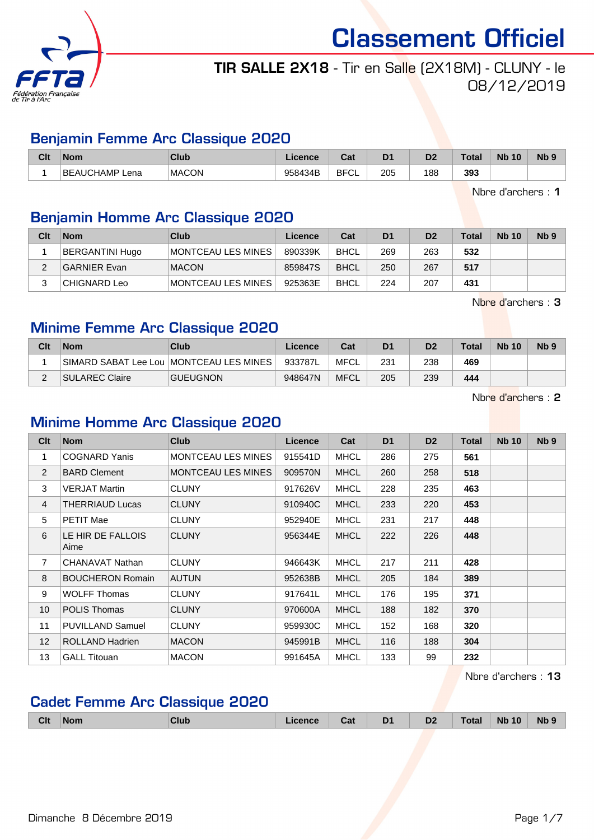

## TIR SALLE 2X18 - Tir en Salle (2X18M) - CLUNY - le 08/12/2019

## Benjamin Femme Arc Classique 2020

| Clt | <b>Nom</b>               | Club         | Licence | ∩~'<br>⊍aι  | D <sub>1</sub> | D <sub>2</sub> | Total | <b>N<sub>b</sub></b><br>10 | Nb <sub>9</sub> |
|-----|--------------------------|--------------|---------|-------------|----------------|----------------|-------|----------------------------|-----------------|
|     | <b>BEAUCHAMP</b><br>Lena | <b>MACON</b> | 958434B | <b>BFCL</b> | 205            | 188            | 393   |                            |                 |

Nbre d'archers : 1

## Benjamin Homme Arc Classique 2020

| Clt | <b>Nom</b>          | Club                  | Licence | Cat         | D <sub>1</sub> | D <sub>2</sub> | Total | <b>Nb 10</b> | Nb <sub>9</sub> |
|-----|---------------------|-----------------------|---------|-------------|----------------|----------------|-------|--------------|-----------------|
|     | BERGANTINI Hugo     | ∣MONTCEAU LES MINES ∣ | 890339K | <b>BHCL</b> | 269            | 263            | 532   |              |                 |
|     | <b>GARNIER Evan</b> | <b>MACON</b>          | 859847S | <b>BHCL</b> | 250            | 267            | 517   |              |                 |
|     | CHIGNARD Leo        | ∣MONTCEAU LES MINES ∣ | 925363E | <b>BHCL</b> | 224            | 207            | 431   |              |                 |

Nbre d'archers : 3

## Minime Femme Arc Classique 2020

| Clt | <b>Nom</b>     | Club                                      | Licence | Cat         | D <sub>1</sub> | D <sub>2</sub> | Total | <b>Nb 10</b> | Nb <sub>9</sub> |
|-----|----------------|-------------------------------------------|---------|-------------|----------------|----------------|-------|--------------|-----------------|
|     |                | SIMARD SABAT Lee Lou   MONTCEAU LES MINES | 933787L | MFCL        | 231            | 238            | 469   |              |                 |
|     | SULAREC Claire | <b>GUEUGNON</b>                           | 948647N | <b>MFCL</b> | 205            | 239            | 444   |              |                 |

Nbre d'archers : 2

## Minime Homme Arc Classique 2020

| Clt             | <b>Nom</b>                | <b>Club</b>               | <b>Licence</b> | Cat         | D <sub>1</sub> | D <sub>2</sub> | Total | <b>Nb 10</b> | Nb <sub>9</sub> |
|-----------------|---------------------------|---------------------------|----------------|-------------|----------------|----------------|-------|--------------|-----------------|
| 1               | <b>COGNARD Yanis</b>      | <b>MONTCEAU LES MINES</b> | 915541D        | <b>MHCL</b> | 286            | 275            | 561   |              |                 |
| 2               | <b>BARD Clement</b>       | <b>MONTCEAU LES MINES</b> | 909570N        | <b>MHCL</b> | 260            | 258            | 518   |              |                 |
| 3               | <b>VERJAT Martin</b>      | <b>CLUNY</b>              | 917626V        | <b>MHCL</b> | 228            | 235            | 463   |              |                 |
| 4               | THERRIAUD Lucas           | <b>CLUNY</b>              | 910940C        | <b>MHCL</b> | 233            | 220            | 453   |              |                 |
| 5               | <b>PETIT Mae</b>          | <b>CLUNY</b>              | 952940E        | <b>MHCL</b> | 231            | 217            | 448   |              |                 |
| 6               | LE HIR DE FALLOIS<br>Aime | <b>CLUNY</b>              | 956344E        | <b>MHCL</b> | 222            | 226            | 448   |              |                 |
| $\overline{7}$  | CHANAVAT Nathan           | <b>CLUNY</b>              | 946643K        | <b>MHCL</b> | 217            | 211            | 428   |              |                 |
| 8               | <b>BOUCHERON Romain</b>   | <b>AUTUN</b>              | 952638B        | <b>MHCL</b> | 205            | 184            | 389   |              |                 |
| 9               | <b>WOLFF Thomas</b>       | <b>CLUNY</b>              | 917641L        | <b>MHCL</b> | 176            | 195            | 371   |              |                 |
| 10 <sup>1</sup> | <b>POLIS Thomas</b>       | <b>CLUNY</b>              | 970600A        | <b>MHCL</b> | 188            | 182            | 370   |              |                 |
| 11              | <b>PUVILLAND Samuel</b>   | <b>CLUNY</b>              | 959930C        | <b>MHCL</b> | 152            | 168            | 320   |              |                 |
| 12 <sup>2</sup> | <b>ROLLAND Hadrien</b>    | <b>MACON</b>              | 945991B        | <b>MHCL</b> | 116            | 188            | 304   |              |                 |
| 13              | <b>GALL Titouan</b>       | <b>MACON</b>              | 991645A        | <b>MHCL</b> | 133            | 99             | 232   |              |                 |

Nbre d'archers : 13

## Cadet Femme Arc Classique 2020

| Clt | <b>Nom</b> | Club | <b>True</b><br>ual | D <sub>1</sub><br>- - | D <sub>2</sub> | Total | <b>Nb 10</b> | <b>Nb</b> |
|-----|------------|------|--------------------|-----------------------|----------------|-------|--------------|-----------|
|     |            |      |                    |                       |                |       |              |           |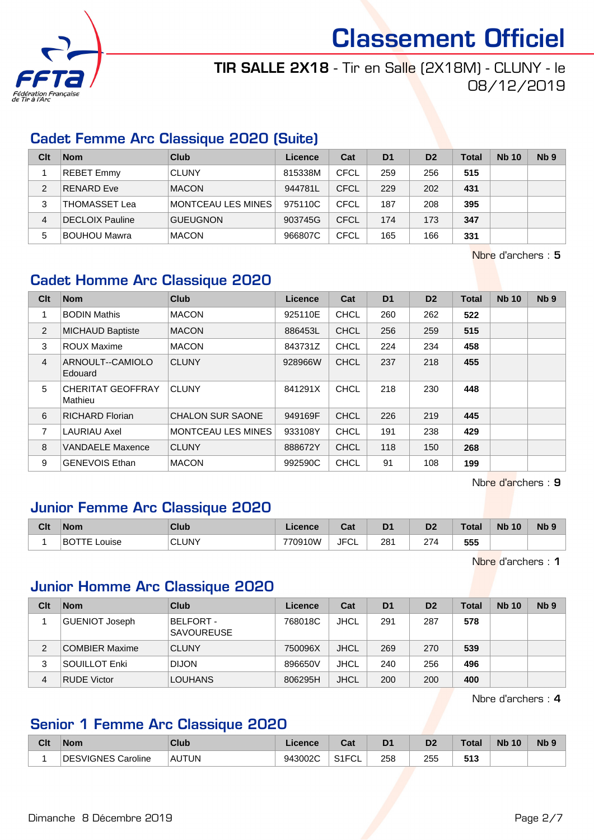

## TIR SALLE 2X18 - Tir en Salle (2X18M) - CLUNY - le 08/12/2019

## Cadet Femme Arc Classique 2020 (Suite)

| Clt | <b>Nom</b>          | Club               | Licence | Cat         | D <sub>1</sub> | D <sub>2</sub> | Total | <b>Nb 10</b> | N <sub>b</sub> <sub>9</sub> |
|-----|---------------------|--------------------|---------|-------------|----------------|----------------|-------|--------------|-----------------------------|
|     | <b>REBET Emmy</b>   | <b>CLUNY</b>       | 815338M | <b>CFCL</b> | 259            | 256            | 515   |              |                             |
| 2   | RENARD Eve          | <b>MACON</b>       | 944781L | CFCL        | 229            | 202            | 431   |              |                             |
| 3   | THOMASSET Lea       | MONTCEAU LES MINES | 975110C | CFCL        | 187            | 208            | 395   |              |                             |
| 4   | DECLOIX Pauline     | <b>GUEUGNON</b>    | 903745G | CFCL        | 174            | 173            | 347   |              |                             |
| 5   | <b>BOUHOU Mawra</b> | <b>MACON</b>       | 966807C | CFCL        | 165            | 166            | 331   |              |                             |

Nbre d'archers : 5

## Cadet Homme Arc Classique 2020

| Clt            | <b>Nom</b>                          | <b>Club</b>               | <b>Licence</b> | Cat         | D <sub>1</sub> | D <sub>2</sub> | <b>Total</b> | <b>Nb 10</b> | N <sub>b</sub> <sub>9</sub> |
|----------------|-------------------------------------|---------------------------|----------------|-------------|----------------|----------------|--------------|--------------|-----------------------------|
| 1              | <b>BODIN Mathis</b>                 | <b>MACON</b>              | 925110E        | <b>CHCL</b> | 260            | 262            | 522          |              |                             |
| 2              | <b>MICHAUD Baptiste</b>             | <b>MACON</b>              | 886453L        | <b>CHCL</b> | 256            | 259            | 515          |              |                             |
| 3              | <b>ROUX Maxime</b>                  | <b>MACON</b>              | 843731Z        | <b>CHCL</b> | 224            | 234            | 458          |              |                             |
| $\overline{4}$ | ARNOULT--CAMIOLO<br>Edouard         | <b>CLUNY</b>              | 928966W        | <b>CHCL</b> | 237            | 218            | 455          |              |                             |
| 5              | <b>CHERITAT GEOFFRAY</b><br>Mathieu | <b>CLUNY</b>              | 841291X        | <b>CHCL</b> | 218            | 230            | 448          |              |                             |
| 6              | <b>RICHARD Florian</b>              | <b>CHALON SUR SAONE</b>   | 949169F        | <b>CHCL</b> | 226            | 219            | 445          |              |                             |
| $\overline{7}$ | <b>LAURIAU Axel</b>                 | <b>MONTCEAU LES MINES</b> | 933108Y        | <b>CHCL</b> | 191            | 238            | 429          |              |                             |
| 8              | <b>VANDAELE Maxence</b>             | <b>CLUNY</b>              | 888672Y        | <b>CHCL</b> | 118            | 150            | 268          |              |                             |
| 9              | <b>GENEVOIS Ethan</b>               | <b>MACON</b>              | 992590C        | <b>CHCL</b> | 91             | 108            | 199          |              |                             |

Nbre d'archers : 9

## Junior Femme Arc Classique 2020

| Clt | <b>Nom</b>            | Club         | Licence. | Cat        | D <sub>1</sub> | D <sub>2</sub> | <b>Total</b> | <b>N<sub>b</sub></b><br>10 | N <sub>b</sub> <sub>9</sub> |
|-----|-----------------------|--------------|----------|------------|----------------|----------------|--------------|----------------------------|-----------------------------|
|     | <b>BOTTE</b><br>ouise | <b>CLUNY</b> | 770910W  | JFC'<br>◡∟ | 281<br>$-$     | 274            | 555          |                            |                             |

Nbre d'archers : 1

## Junior Homme Arc Classique 2020

| Clt | <b>Nom</b>            | Club                           | Licence | Cat         | D <sub>1</sub> | D <sub>2</sub> | <b>Total</b> | <b>Nb 10</b> | Nb <sub>9</sub> |
|-----|-----------------------|--------------------------------|---------|-------------|----------------|----------------|--------------|--------------|-----------------|
|     | <b>GUENIOT Joseph</b> | BELFORT -<br><b>SAVOUREUSE</b> | 768018C | <b>JHCL</b> | 291            | 287            | 578          |              |                 |
| 2   | COMBIER Maxime        | <b>CLUNY</b>                   | 750096X | JHCL        | 269            | 270            | 539          |              |                 |
| 3   | SOUILLOT Enki         | <b>DIJON</b>                   | 896650V | <b>JHCL</b> | 240            | 256            | 496          |              |                 |
| 4   | <b>RUDE Victor</b>    | <b>LOUHANS</b>                 | 806295H | <b>JHCL</b> | 200            | 200            | 400          |              |                 |

Nbre d'archers : 4

## Senior 1 Femme Arc Classique 2020

| Clt | <b>Nom</b>       | Club         | icence  | r.,<br>val           | D <sub>1</sub> | D2  | <b>Total</b> | <b>Nb 10</b> | Nb <sub>9</sub> |
|-----|------------------|--------------|---------|----------------------|----------------|-----|--------------|--------------|-----------------|
|     | SVIGNES Caroline | <b>AUTUN</b> | 943002C | $O(10^{-11})$<br>™ ∟ | 258            | 255 | 513          |              |                 |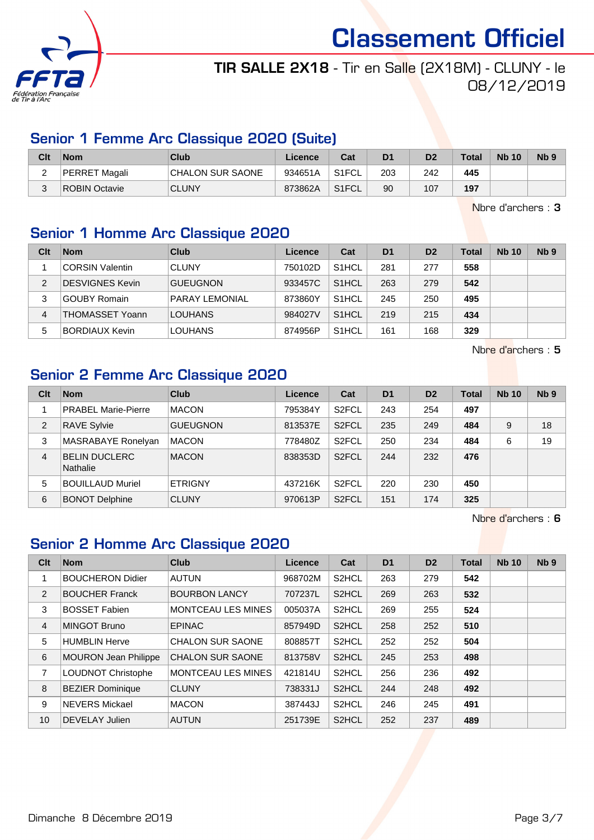

## TIR SALLE 2X18 - Tir en Salle (2X18M) - CLUNY - le 08/12/2019

## Senior 1 Femme Arc Classique 2020 (Suite)

| Clt      | <b>Nom</b>    | Club                    | Licence | Cat                | D <sub>1</sub> | D <sub>2</sub> | <b>Total</b> | <b>Nb 10</b> | Nb ? |
|----------|---------------|-------------------------|---------|--------------------|----------------|----------------|--------------|--------------|------|
| <u>.</u> | PERRET Magali | <b>CHALON SUR SAONE</b> | 934651A | S1FCL              | 203            | 242            | 445          |              |      |
|          | ROBIN Octavie | <b>CLUNY</b>            | 873862A | S <sub>1</sub> FCL | 90             | 107            | 197          |              |      |

Nbre d'archers : 3

#### Senior 1 Homme Arc Classique 2020

| Clt | <b>Nom</b>             | Club                  | Licence | Cat                | D <sub>1</sub> | D <sub>2</sub> | <b>Total</b> | <b>Nb 10</b> | N <sub>b</sub> <sub>9</sub> |
|-----|------------------------|-----------------------|---------|--------------------|----------------|----------------|--------------|--------------|-----------------------------|
|     | <b>CORSIN Valentin</b> | <b>CLUNY</b>          | 750102D | S <sub>1</sub> HCL | 281            | 277            | 558          |              |                             |
| 2   | <b>DESVIGNES Kevin</b> | <b>GUEUGNON</b>       | 933457C | S <sub>1</sub> HCL | 263            | 279            | 542          |              |                             |
| 3   | <b>GOUBY Romain</b>    | <b>PARAY LEMONIAL</b> | 873860Y | S <sub>1</sub> HCL | 245            | 250            | 495          |              |                             |
| 4   | <b>THOMASSET Yoann</b> | <b>LOUHANS</b>        | 984027V | S <sub>1</sub> HCL | 219            | 215            | 434          |              |                             |
| 5   | <b>BORDIAUX Kevin</b>  | <b>LOUHANS</b>        | 874956P | S <sub>1</sub> HCL | 161            | 168            | 329          |              |                             |

Nbre d'archers : 5

## Senior 2 Femme Arc Classique 2020

| Clt | <b>Nom</b>                              | <b>Club</b>     | Licence | Cat                | D <sub>1</sub> | D <sub>2</sub> | <b>Total</b> | <b>Nb 10</b> | N <sub>b</sub> <sub>9</sub> |
|-----|-----------------------------------------|-----------------|---------|--------------------|----------------|----------------|--------------|--------------|-----------------------------|
|     | <b>PRABEL Marie-Pierre</b>              | <b>MACON</b>    | 795384Y | S <sub>2</sub> FCL | 243            | 254            | 497          |              |                             |
| 2   | <b>RAVE Sylvie</b>                      | <b>GUEUGNON</b> | 813537E | S <sub>2</sub> FCL | 235            | 249            | 484          | 9            | 18                          |
| 3   | MASRABAYE Ronelyan                      | <b>MACON</b>    | 778480Z | S <sub>2</sub> FCL | 250            | 234            | 484          | 6            | 19                          |
| 4   | <b>BELIN DUCLERC</b><br><b>Nathalie</b> | <b>MACON</b>    | 838353D | S <sub>2</sub> FCL | 244            | 232            | 476          |              |                             |
| 5   | <b>BOUILLAUD Muriel</b>                 | <b>ETRIGNY</b>  | 437216K | S <sub>2</sub> FCL | 220            | 230            | 450          |              |                             |
| 6   | <b>BONOT Delphine</b>                   | <b>CLUNY</b>    | 970613P | S <sub>2</sub> FCL | 151            | 174            | 325          |              |                             |

Nbre d'archers : 6

## Senior 2 Homme Arc Classique 2020

| Clt            | <b>Nom</b>                  | <b>Club</b>               | Licence | Cat                | D <sub>1</sub> | D <sub>2</sub> | <b>Total</b> | <b>Nb 10</b> | N <sub>b</sub> <sub>9</sub> |
|----------------|-----------------------------|---------------------------|---------|--------------------|----------------|----------------|--------------|--------------|-----------------------------|
|                | <b>BOUCHERON Didier</b>     | <b>AUTUN</b>              | 968702M | S <sub>2</sub> HCL | 263            | 279            | 542          |              |                             |
| 2              | <b>BOUCHER Franck</b>       | <b>BOURBON LANCY</b>      | 707237L | S2HCL              | 269            | 263            | 532          |              |                             |
| 3              | <b>BOSSET Fabien</b>        | <b>MONTCEAU LES MINES</b> | 005037A | S <sub>2</sub> HCL | 269            | 255            | 524          |              |                             |
| $\overline{4}$ | MINGOT Bruno                | <b>EPINAC</b>             | 857949D | S2HCL              | 258            | 252            | 510          |              |                             |
| 5              | <b>HUMBLIN Herve</b>        | <b>CHALON SUR SAONE</b>   | 808857T | S <sub>2</sub> HCL | 252            | 252            | 504          |              |                             |
| 6              | <b>MOURON Jean Philippe</b> | <b>CHALON SUR SAONE</b>   | 813758V | S <sub>2</sub> HCL | 245            | 253            | 498          |              |                             |
| 7              | <b>LOUDNOT Christophe</b>   | <b>MONTCEAU LES MINES</b> | 421814U | S2HCL              | 256            | 236            | 492          |              |                             |
| 8              | <b>BEZIER Dominique</b>     | <b>CLUNY</b>              | 738331J | S <sub>2</sub> HCL | 244            | 248            | 492          |              |                             |
| 9              | <b>NEVERS Mickael</b>       | <b>MACON</b>              | 387443J | S <sub>2</sub> HCL | 246            | 245            | 491          |              |                             |
| 10             | DEVELAY Julien              | <b>AUTUN</b>              | 251739E | S <sub>2</sub> HCL | 252            | 237            | 489          |              |                             |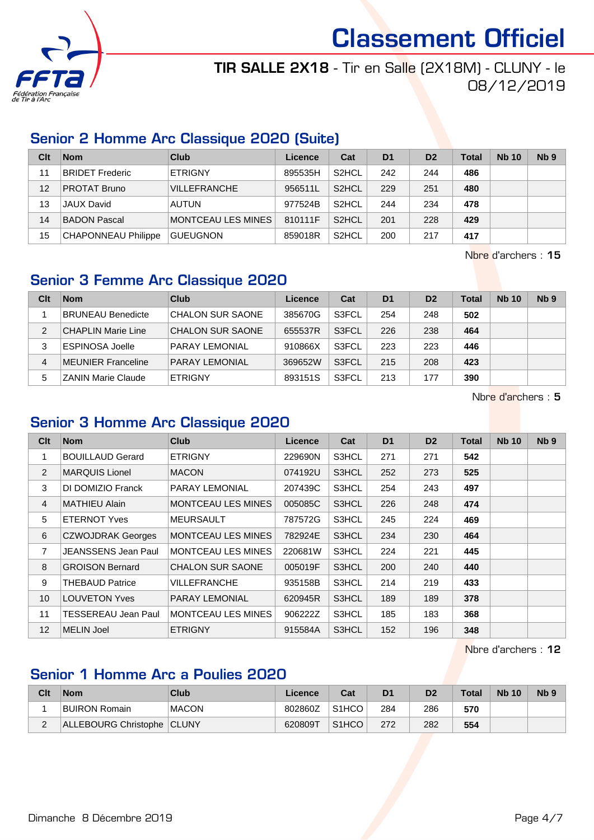

## TIR SALLE 2X18 - Tir en Salle (2X18M) - CLUNY - le 08/12/2019

## Senior 2 Homme Arc Classique 2020 (Suite)

| Clt | <b>Nom</b>                 | Club                | Licence | Cat                | D <sub>1</sub> | D <sub>2</sub> | <b>Total</b> | <b>Nb 10</b> | N <sub>b</sub> <sub>9</sub> |
|-----|----------------------------|---------------------|---------|--------------------|----------------|----------------|--------------|--------------|-----------------------------|
| 11  | <b>BRIDET Frederic</b>     | <b>ETRIGNY</b>      | 895535H | S <sub>2</sub> HCL | 242            | 244            | 486          |              |                             |
| 12  | <b>PROTAT Bruno</b>        | <b>VILLEFRANCHE</b> | 956511L | S <sub>2</sub> HCL | 229            | 251            | 480          |              |                             |
| 13  | <b>JAUX David</b>          | <b>AUTUN</b>        | 977524B | S <sub>2</sub> HCL | 244            | 234            | 478          |              |                             |
| 14  | BADON Pascal               | MONTCEAU LES MINES  | 810111F | S <sub>2</sub> HCL | 201            | 228            | 429          |              |                             |
| 15  | <b>CHAPONNEAU Philippe</b> | <b>GUEUGNON</b>     | 859018R | S <sub>2</sub> HCL | 200            | 217            | 417          |              |                             |

Nbre d'archers : 15

## Senior 3 Femme Arc Classique 2020

| Clt | <b>Nom</b>                | Club                    | Licence | Cat   | D <sub>1</sub> | D <sub>2</sub> | Total | <b>Nb 10</b> | Nb <sub>9</sub> |
|-----|---------------------------|-------------------------|---------|-------|----------------|----------------|-------|--------------|-----------------|
|     | <b>BRUNEAU Benedicte</b>  | CHALON SUR SAONE        | 385670G | S3FCL | 254            | 248            | 502   |              |                 |
| 2   | <b>CHAPLIN Marie Line</b> | <b>CHALON SUR SAONE</b> | 655537R | S3FCL | 226            | 238            | 464   |              |                 |
| 3   | <b>ESPINOSA Joelle</b>    | <b>PARAY LEMONIAL</b>   | 910866X | S3FCL | 223            | 223            | 446   |              |                 |
| 4   | MEUNIER Franceline        | <b>PARAY LEMONIAL</b>   | 369652W | S3FCL | 215            | 208            | 423   |              |                 |
| 5   | <b>ZANIN Marie Claude</b> | <b>ETRIGNY</b>          | 893151S | S3FCL | 213            | 177            | 390   |              |                 |

Nbre d'archers : 5

## Senior 3 Homme Arc Classique 2020

| Clt               | <b>Nom</b>                 | <b>Club</b>               | Licence | Cat   | D <sub>1</sub> | D <sub>2</sub> | Total | <b>Nb 10</b> | Nb <sub>9</sub> |
|-------------------|----------------------------|---------------------------|---------|-------|----------------|----------------|-------|--------------|-----------------|
|                   | <b>BOUILLAUD Gerard</b>    | <b>ETRIGNY</b>            | 229690N | S3HCL | 271            | 271            | 542   |              |                 |
| 2                 | <b>MARQUIS Lionel</b>      | <b>MACON</b>              | 074192U | S3HCL | 252            | 273            | 525   |              |                 |
| 3                 | DI DOMIZIO Franck          | PARAY LEMONIAL            | 207439C | S3HCL | 254            | 243            | 497   |              |                 |
| 4                 | <b>MATHIEU Alain</b>       | <b>MONTCEAU LES MINES</b> | 005085C | S3HCL | 226            | 248            | 474   |              |                 |
| 5                 | <b>ETERNOT Yves</b>        | <b>MEURSAULT</b>          | 787572G | S3HCL | 245            | 224            | 469   |              |                 |
| 6                 | <b>CZWOJDRAK Georges</b>   | <b>MONTCEAU LES MINES</b> | 782924E | S3HCL | 234            | 230            | 464   |              |                 |
| 7                 | JEANSSENS Jean Paul        | <b>MONTCEAU LES MINES</b> | 220681W | S3HCL | 224            | 221            | 445   |              |                 |
| 8                 | <b>GROISON Bernard</b>     | <b>CHALON SUR SAONE</b>   | 005019F | S3HCL | 200            | 240            | 440   |              |                 |
| 9                 | <b>THEBAUD Patrice</b>     | VILLEFRANCHE              | 935158B | S3HCL | 214            | 219            | 433   |              |                 |
| 10                | <b>LOUVETON Yves</b>       | <b>PARAY LEMONIAL</b>     | 620945R | S3HCL | 189            | 189            | 378   |              |                 |
| 11                | <b>TESSEREAU Jean Paul</b> | <b>MONTCEAU LES MINES</b> | 906222Z | S3HCL | 185            | 183            | 368   |              |                 |
| $12 \overline{ }$ | <b>MELIN Joel</b>          | <b>ETRIGNY</b>            | 915584A | S3HCL | 152            | 196            | 348   |              |                 |

Nbre d'archers : 12

## Senior 1 Homme Arc a Poulies 2020

| Clt      | <b>Nom</b>                 | Club         | Licence | Cat                | D <sub>1</sub> | D2  | <b>Total</b> | <b>Nb 10</b> | Nb <sub>5</sub> |
|----------|----------------------------|--------------|---------|--------------------|----------------|-----|--------------|--------------|-----------------|
|          | <b>BUIRON Romain</b>       | <b>MACON</b> | 802860Z | S <sub>1</sub> HCO | 284            | 286 | 570          |              |                 |
| <u>.</u> | ALLEBOURG Christophe CLUNY |              | 620809T | S <sub>1</sub> HCO | 272            | 282 | 554          |              |                 |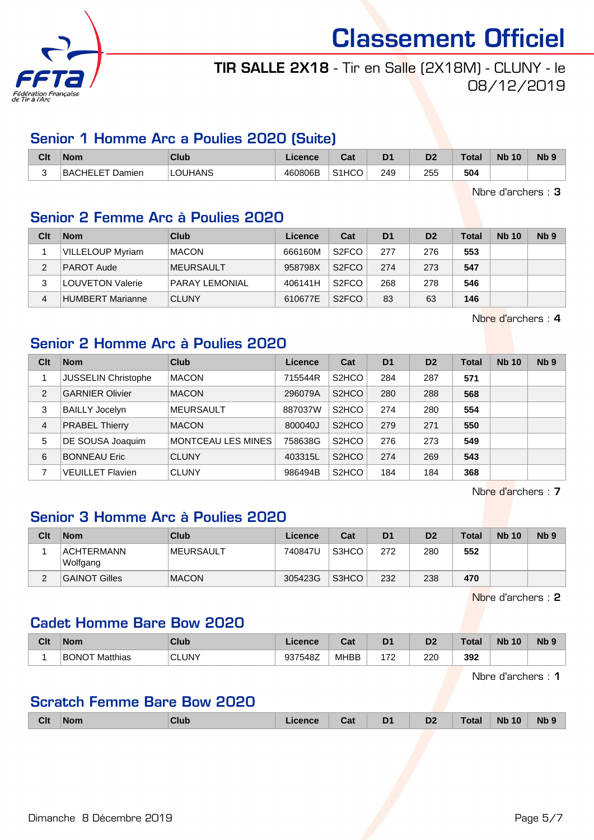

## TIR SALLE 2X18 - Tir en Salle (2X18M) - CLUNY - le 08/12/2019

### Senior 1 Homme Arc a Poulies 2020 (Suite)

| Clt | Nom                                    | Club    | .icence | r.,<br>Ja.         | D <sub>1</sub> | D2  | <b>Total</b> | <b>N<sub>b</sub></b><br>10 | <b>N<sub>b</sub></b> |
|-----|----------------------------------------|---------|---------|--------------------|----------------|-----|--------------|----------------------------|----------------------|
| ∽   | <b>BACHELET</b><br><sup>:</sup> Damien | LOUHANS | 460806B | S <sub>1</sub> HCO | 249            | 255 | 504          |                            |                      |

Nbre d'archers : 3

## Senior 2 Femme Arc à Poulies 2020

| Clt | <b>Nom</b>              | Club                  | Licence | Cat                | D <sub>1</sub> | D <sub>2</sub> | Total | <b>Nb 10</b> | Nb <sub>9</sub> |
|-----|-------------------------|-----------------------|---------|--------------------|----------------|----------------|-------|--------------|-----------------|
|     | <b>VILLELOUP Myriam</b> | <b>MACON</b>          | 666160M | S <sub>2</sub> FCO | 277            | 276            | 553   |              |                 |
| 2   | <b>PAROT Aude</b>       | <b>IMEURSAULT</b>     | 958798X | S <sub>2</sub> FCO | 274            | 273            | 547   |              |                 |
| 3   | <b>LOUVETON Valerie</b> | <b>PARAY LEMONIAL</b> | 406141H | S <sub>2</sub> FCO | 268            | 278            | 546   |              |                 |
|     | HUMBERT Marianne        | <b>CLUNY</b>          | 610677E | S <sub>2</sub> FCO | 83             | 63             | 146   |              |                 |

Nbre d'archers : 4

## Senior 2 Homme Arc à Poulies 2020

| Clt            | <b>Nom</b>                 | Club               | Licence | Cat                | D <sub>1</sub> | D <sub>2</sub> | <b>Total</b> | <b>Nb 10</b> | Nb <sub>9</sub> |
|----------------|----------------------------|--------------------|---------|--------------------|----------------|----------------|--------------|--------------|-----------------|
|                | <b>JUSSELIN Christophe</b> | <b>MACON</b>       | 715544R | S <sub>2</sub> HCO | 284            | 287            | 571          |              |                 |
| $\overline{2}$ | <b>GARNIER Olivier</b>     | <b>MACON</b>       | 296079A | S <sub>2</sub> HCO | 280            | 288            | 568          |              |                 |
| 3              | <b>BAILLY Jocelyn</b>      | <b>MEURSAULT</b>   | 887037W | S <sub>2</sub> HCO | 274            | 280            | 554          |              |                 |
| 4              | <b>PRABEL Thierry</b>      | <b>MACON</b>       | 800040J | S <sub>2</sub> HCO | 279            | 271            | 550          |              |                 |
| 5              | DE SOUSA Joaquim           | MONTCEAU LES MINES | 758638G | S <sub>2</sub> HCO | 276            | 273            | 549          |              |                 |
| 6              | <b>BONNEAU Eric</b>        | <b>CLUNY</b>       | 403315L | S <sub>2</sub> HCO | 274            | 269            | 543          |              |                 |
|                | <b>VEUILLET Flavien</b>    | <b>CLUNY</b>       | 986494B | S <sub>2</sub> HCO | 184            | 184            | 368          |              |                 |

Nbre d'archers : 7

## Senior 3 Homme Arc à Poulies 2020

| Clt | <b>Nom</b>                    | Club         | Licence | Cat   | D <sub>1</sub> | D <sub>2</sub> | Total | <b>Nb 10</b> | N <sub>b</sub> <sub>9</sub> |
|-----|-------------------------------|--------------|---------|-------|----------------|----------------|-------|--------------|-----------------------------|
|     | <b>ACHTERMANN</b><br>Wolfgang | IMEURSAULT   | 740847U | S3HCO | 272            | 280            | 552   |              |                             |
| ∼   | <b>GAINOT Gilles</b>          | <b>MACON</b> | 305423G | S3HCO | 232            | 238            | 470   |              |                             |

Nbre d'archers : 2

## Cadet Homme Bare Bow 2020

| Clt | <b>Nom</b>               | Club         | icanca<br>Licence | ◠∼<br>ual   | D <sub>1</sub> | D <sub>2</sub> | $\sim$<br>Uldi | <b>N<sub>b</sub></b><br>10 | <b>N<sub>b</sub></b> |
|-----|--------------------------|--------------|-------------------|-------------|----------------|----------------|----------------|----------------------------|----------------------|
|     | <b>BONOT</b><br>Matthias | <b>CLUNY</b> | 937548Z           | <b>MHBB</b> | יד ו           | 220<br>____    | 392            |                            |                      |

Nbre d'archers : 1

### Scratch Femme Bare Bow 2020

| <b>Clt</b> | <b>Nom</b> | <b>Club</b> | .icence | Cat | D <sub>1</sub> | D <sub>2</sub> | <b>Total</b> | <b>Nb 10</b> | Nb <sub>9</sub> |
|------------|------------|-------------|---------|-----|----------------|----------------|--------------|--------------|-----------------|
|            |            |             |         |     |                |                |              |              |                 |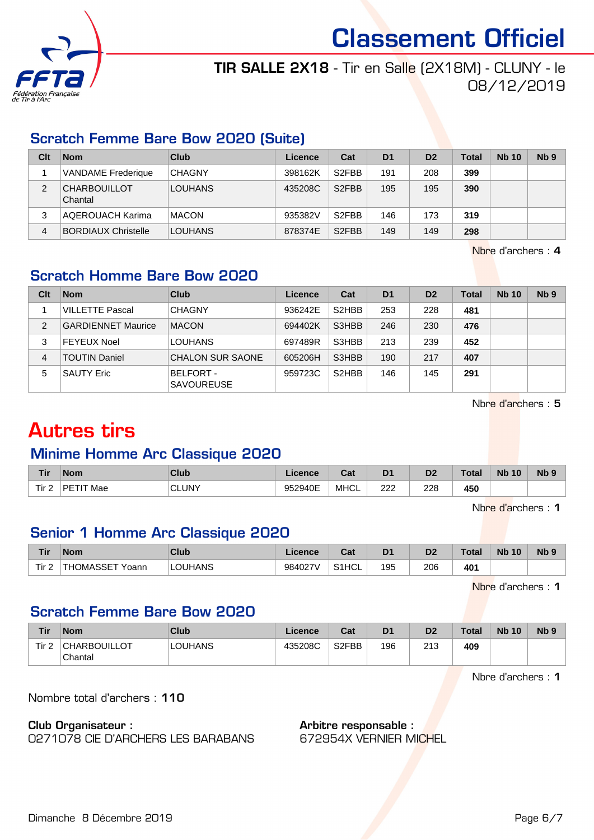

## TIR SALLE 2X18 - Tir en Salle (2X18M) - CLUNY - le 08/12/2019

## Scratch Femme Bare Bow 2020 (Suite)

| Clt | <b>Nom</b>                     | Club           | Licence | Cat                | D <sub>1</sub> | D <sub>2</sub> | <b>Total</b> | <b>Nb 10</b> | N <sub>b</sub> <sub>9</sub> |
|-----|--------------------------------|----------------|---------|--------------------|----------------|----------------|--------------|--------------|-----------------------------|
|     | VANDAME Frederique             | <b>CHAGNY</b>  | 398162K | S <sub>2</sub> FBB | 191            | 208            | 399          |              |                             |
| 2   | <b>CHARBOUILLOT</b><br>Chantal | <b>LOUHANS</b> | 435208C | S <sub>2</sub> FBB | 195            | 195            | 390          |              |                             |
| 3   | AQEROUACH Karima               | <b>MACON</b>   | 935382V | S <sub>2</sub> FBB | 146            | 173            | 319          |              |                             |
| 4   | <b>BORDIAUX Christelle</b>     | <b>LOUHANS</b> | 878374E | S <sub>2</sub> FBB | 149            | 149            | 298          |              |                             |

Nbre d'archers : 4

## Scratch Homme Bare Bow 2020

| Clt            | <b>Nom</b>                | Club                                  | Licence | Cat                | D <sub>1</sub> | D <sub>2</sub> | <b>Total</b> | <b>Nb 10</b> | Nb <sub>9</sub> |
|----------------|---------------------------|---------------------------------------|---------|--------------------|----------------|----------------|--------------|--------------|-----------------|
|                | <b>VILLETTE Pascal</b>    | <b>CHAGNY</b>                         | 936242E | S <sub>2</sub> HBB | 253            | 228            | 481          |              |                 |
| $\overline{2}$ | <b>GARDIENNET Maurice</b> | <b>MACON</b>                          | 694402K | S3HBB              | 246            | 230            | 476          |              |                 |
| 3              | <b>FEYEUX Noel</b>        | <b>LOUHANS</b>                        | 697489R | S3HBB              | 213            | 239            | 452          |              |                 |
| 4              | <b>TOUTIN Daniel</b>      | <b>CHALON SUR SAONE</b>               | 605206H | S3HBB              | 190            | 217            | 407          |              |                 |
| 5              | <b>SAUTY Eric</b>         | <b>BELFORT -</b><br><b>SAVOUREUSE</b> | 959723C | S <sub>2</sub> HBB | 146            | 145            | 291          |              |                 |

Nbre d'archers : 5

## Autres tirs

## Minime Homme Arc Classique 2020

| <b>Tir</b> | <b>Nom</b>          | Club         | <b>licence</b> | ו ה<br>sal  | D <sub>1</sub> | n0<br>ש | ⊺otal | <b>Nb</b><br>10 | N <sub>b</sub> <sub>9</sub> |
|------------|---------------------|--------------|----------------|-------------|----------------|---------|-------|-----------------|-----------------------------|
| Tir 2<br>- | <b>PETIT</b><br>Mae | <b>CLUNY</b> | 952940E        | <b>MHCL</b> | מממ<br>222     | 228     | 450   |                 |                             |

Nbre d'archers : 1

## Senior 1 Homme Arc Classique 2020

| <b>Tir</b>  | <b>Nom</b>       | Club    | Licence | <b>Dat</b><br>⊍م   | D <sub>1</sub> | D <sub>2</sub> | ⊺otal | <b>Nb</b><br>10 | N <sub>b</sub> <sub>9</sub> |
|-------------|------------------|---------|---------|--------------------|----------------|----------------|-------|-----------------|-----------------------------|
| $-$<br>l ir | 'THOMASSET Yoann | LOUHANS | 984027V | S <sub>1</sub> HCL | 195            | 206            | 401   |                 |                             |

Nbre d'archers : 1

## Scratch Femme Bare Bow 2020

| Tir              | <b>Nom</b>                     | Club           | ∟icence | Cat                | D <sub>1</sub> | D <sub>2</sub> | <b>Total</b> | <b>Nb 10</b> | N <sub>b</sub> <sub>9</sub> |
|------------------|--------------------------------|----------------|---------|--------------------|----------------|----------------|--------------|--------------|-----------------------------|
| Tir <sub>2</sub> | <b>CHARBOUILLOT</b><br>Chantal | <b>LOUHANS</b> | 435208C | S <sub>2</sub> FBB | 196            | 213            | 409          |              |                             |

Nbre d'archers : 1

Nombre total d'archers : 110

#### Club Organisateur :

0271078 CIE D'ARCHERS LES BARABANS

#### Arbitre responsable : 672954X VERNIER MICHEL